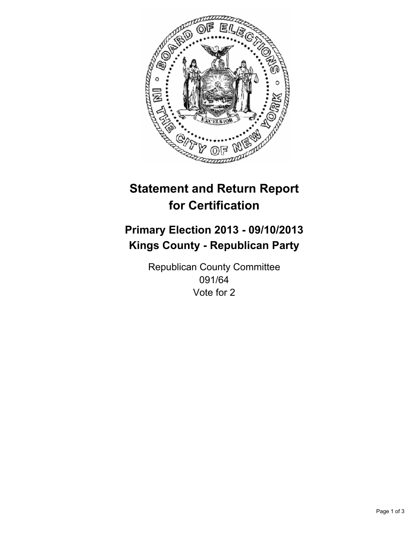

# **Statement and Return Report for Certification**

## **Primary Election 2013 - 09/10/2013 Kings County - Republican Party**

Republican County Committee 091/64 Vote for 2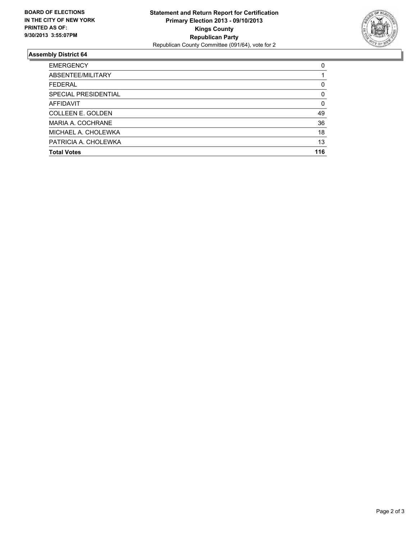

### **Assembly District 64**

| <b>EMERGENCY</b>         | 0        |
|--------------------------|----------|
| ABSENTEE/MILITARY        |          |
| <b>FEDERAL</b>           | 0        |
| SPECIAL PRESIDENTIAL     | $\Omega$ |
| <b>AFFIDAVIT</b>         | $\Omega$ |
| <b>COLLEEN E. GOLDEN</b> | 49       |
| MARIA A. COCHRANE        | 36       |
| MICHAEL A. CHOLEWKA      | 18       |
| PATRICIA A. CHOLEWKA     | 13       |
| <b>Total Votes</b>       | 116      |